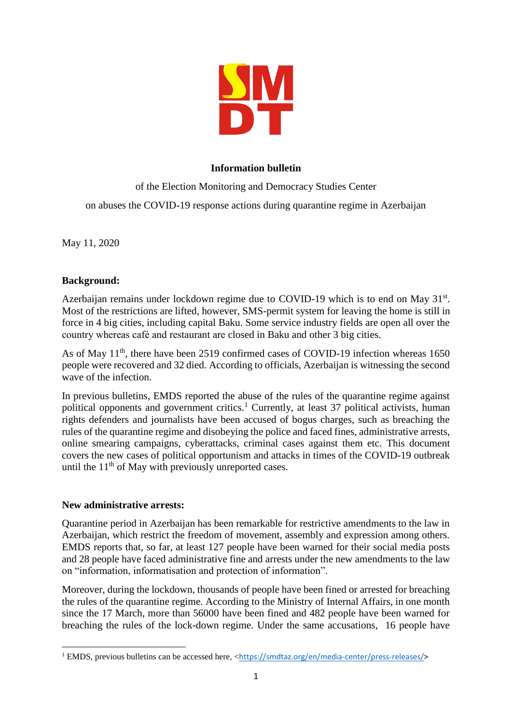

# **Information bulletin**

of the Election Monitoring and Democracy Studies Center on abuses the COVID-19 response actions during quarantine regime in Azerbaijan

May 11, 2020

## **Background:**

Azerbaijan remains under lockdown regime due to COVID-19 which is to end on May 31<sup>st</sup>. Most of the restrictions are lifted, however, SMS-permit system for leaving the home is still in force in 4 big cities, including capital Baku. Some service industry fields are open all over the country whereas café and restaurant are closed in Baku and other 3 big cities.

As of May 11<sup>th</sup>, there have been 2519 confirmed cases of COVID-19 infection whereas 1650 people were recovered and 32 died. According to officials, Azerbaijan is witnessing the second wave of the infection.

In previous bulletins, EMDS reported the abuse of the rules of the quarantine regime against political opponents and government critics.<sup>1</sup> Currently, at least 37 political activists, human rights defenders and journalists have been accused of bogus charges, such as breaching the rules of the quarantine regime and disobeying the police and faced fines, administrative arrests, online smearing campaigns, cyberattacks, criminal cases against them etc. This document covers the new cases of political opportunism and attacks in times of the COVID-19 outbreak until the  $11<sup>th</sup>$  of May with previously unreported cases.

## **New administrative arrests:**

**.** 

Quarantine period in Azerbaijan has been remarkable for restrictive amendments to the law in Azerbaijan, which restrict the freedom of movement, assembly and expression among others. EMDS reports that, so far, at least 127 people have been warned for their social media posts and 28 people have faced administrative fine and arrests under the new amendments to the law on "information, informatisation and protection of information".

Moreover, during the lockdown, thousands of people have been fined or arrested for breaching the rules of the quarantine regime. According to the Ministry of Internal Affairs, in one month since the 17 March, more than 56000 have been fined and 482 people have been warned for breaching the rules of the lock-down regime. Under the same accusations, 16 people have

<sup>&</sup>lt;sup>1</sup> EMDS, previous bulletins can be accessed here, <[https://smdtaz.org/en/media-center/press-releases/>](https://smdtaz.org/en/media-center/press-releases/)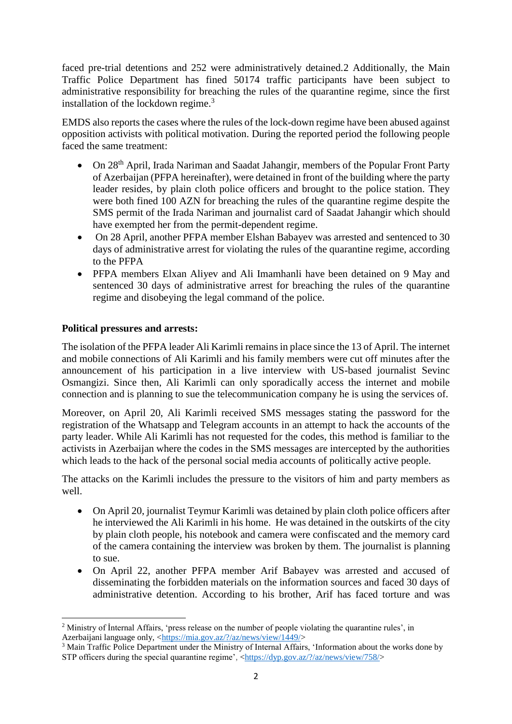faced pre-trial detentions and 252 were administratively detained.2 Additionally, the Main Traffic Police Department has fined 50174 traffic participants have been subject to administrative responsibility for breaching the rules of the quarantine regime, since the first installation of the lockdown regime.<sup>3</sup>

EMDS also reports the cases where the rules of the lock-down regime have been abused against opposition activists with political motivation. During the reported period the following people faced the same treatment:

- On 28<sup>th</sup> April, Irada Nariman and Saadat Jahangir, members of the Popular Front Party of Azerbaijan (PFPA hereinafter), were detained in front of the building where the party leader resides, by plain cloth police officers and brought to the police station. They were both fined 100 AZN for breaching the rules of the quarantine regime despite the SMS permit of the Irada Nariman and journalist card of Saadat Jahangir which should have exempted her from the permit-dependent regime.
- On 28 April, another PFPA member Elshan Babayev was arrested and sentenced to 30 days of administrative arrest for violating the rules of the quarantine regime, according to the PFPA
- PFPA members Elxan Aliyev and Ali Imamhanli have been detained on 9 May and sentenced 30 days of administrative arrest for breaching the rules of the quarantine regime and disobeying the legal command of the police.

## **Political pressures and arrests:**

The isolation of the PFPA leader Ali Karimli remains in place since the 13 of April. The internet and mobile connections of Ali Karimli and his family members were cut off minutes after the announcement of his participation in a live interview with US-based journalist Sevinc Osmangizi. Since then, Ali Karimli can only sporadically access the internet and mobile connection and is planning to sue the telecommunication company he is using the services of.

Moreover, on April 20, Ali Karimli received SMS messages stating the password for the registration of the Whatsapp and Telegram accounts in an attempt to hack the accounts of the party leader. While Ali Karimli has not requested for the codes, this method is familiar to the activists in Azerbaijan where the codes in the SMS messages are intercepted by the authorities which leads to the hack of the personal social media accounts of politically active people.

The attacks on the Karimli includes the pressure to the visitors of him and party members as well.

- On April 20, journalist Teymur Karimli was detained by plain cloth police officers after he interviewed the Ali Karimli in his home. He was detained in the outskirts of the city by plain cloth people, his notebook and camera were confiscated and the memory card of the camera containing the interview was broken by them. The journalist is planning to sue.
- On April 22, another PFPA member Arif Babayev was arrested and accused of disseminating the forbidden materials on the information sources and faced 30 days of administrative detention. According to his brother, Arif has faced torture and was

**<sup>.</sup>** <sup>2</sup> Ministry of Internal Affairs, 'press release on the number of people violating the quarantine rules', in Azerbaijani language only, [<https://mia.gov.az/?/az/news/view/1449/>](https://mia.gov.az/?/az/news/view/1449/)

<sup>3</sup> Main Traffic Police Department under the Ministry of Internal Affairs, 'Information about the works done by STP officers during the special quarantine regime', [<https://dyp.gov.az/?/az/news/view/758/>](https://dyp.gov.az/?/az/news/view/758/)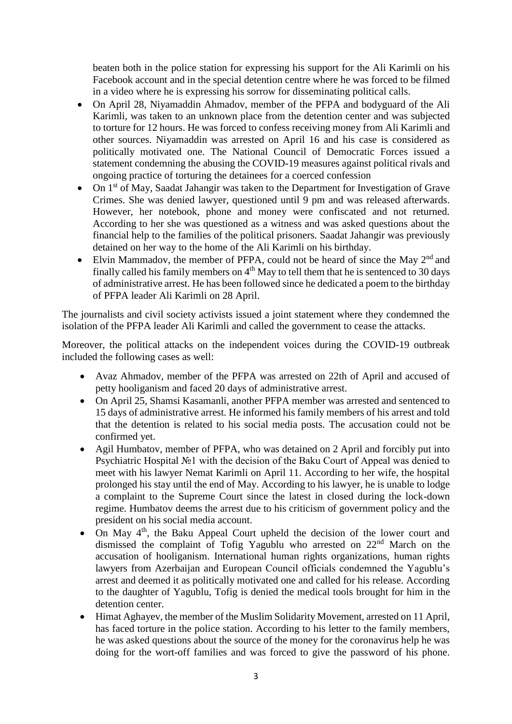beaten both in the police station for expressing his support for the Ali Karimli on his Facebook account and in the special detention centre where he was forced to be filmed in a video where he is expressing his sorrow for disseminating political calls.

- On April 28, Niyamaddin Ahmadov, member of the PFPA and bodyguard of the Ali Karimli, was taken to an unknown place from the detention center and was subjected to torture for 12 hours. He was forced to confess receiving money from Ali Karimli and other sources. Niyamaddin was arrested on April 16 and his case is considered as politically motivated one. The National Council of Democratic Forces issued a statement condemning the abusing the COVID-19 measures against political rivals and ongoing practice of torturing the detainees for a coerced confession
- On 1<sup>st</sup> of May, Saadat Jahangir was taken to the Department for Investigation of Grave Crimes. She was denied lawyer, questioned until 9 pm and was released afterwards. However, her notebook, phone and money were confiscated and not returned. According to her she was questioned as a witness and was asked questions about the financial help to the families of the political prisoners. Saadat Jahangir was previously detained on her way to the home of the Ali Karimli on his birthday.
- Elvin Mammadov, the member of PFPA, could not be heard of since the May 2<sup>nd</sup> and finally called his family members on  $4<sup>th</sup>$  May to tell them that he is sentenced to 30 days of administrative arrest. He has been followed since he dedicated a poem to the birthday of PFPA leader Ali Karimli on 28 April.

The journalists and civil society activists issued a joint statement where they condemned the isolation of the PFPA leader Ali Karimli and called the government to cease the attacks.

Moreover, the political attacks on the independent voices during the COVID-19 outbreak included the following cases as well:

- Avaz Ahmadov, member of the PFPA was arrested on 22th of April and accused of petty hooliganism and faced 20 days of administrative arrest.
- On April 25, Shamsi Kasamanli, another PFPA member was arrested and sentenced to 15 days of administrative arrest. He informed his family members of his arrest and told that the detention is related to his social media posts. The accusation could not be confirmed yet.
- Agil Humbatov, member of PFPA, who was detained on 2 April and forcibly put into Psychiatric Hospital №1 with the decision of the Baku Court of Appeal was denied to meet with his lawyer Nemat Karimli on April 11. According to her wife, the hospital prolonged his stay until the end of May. According to his lawyer, he is unable to lodge a complaint to the Supreme Court since the latest in closed during the lock-down regime. Humbatov deems the arrest due to his criticism of government policy and the president on his social media account.
- On May 4<sup>th</sup>, the Baku Appeal Court upheld the decision of the lower court and dismissed the complaint of Tofig Yagublu who arrested on 22nd March on the accusation of hooliganism. International human rights organizations, human rights lawyers from Azerbaijan and European Council officials condemned the Yagublu's arrest and deemed it as politically motivated one and called for his release. According to the daughter of Yagublu, Tofig is denied the medical tools brought for him in the detention center.
- Himat Aghayev, the member of the Muslim Solidarity Movement, arrested on 11 April, has faced torture in the police station. According to his letter to the family members, he was asked questions about the source of the money for the coronavirus help he was doing for the wort-off families and was forced to give the password of his phone.